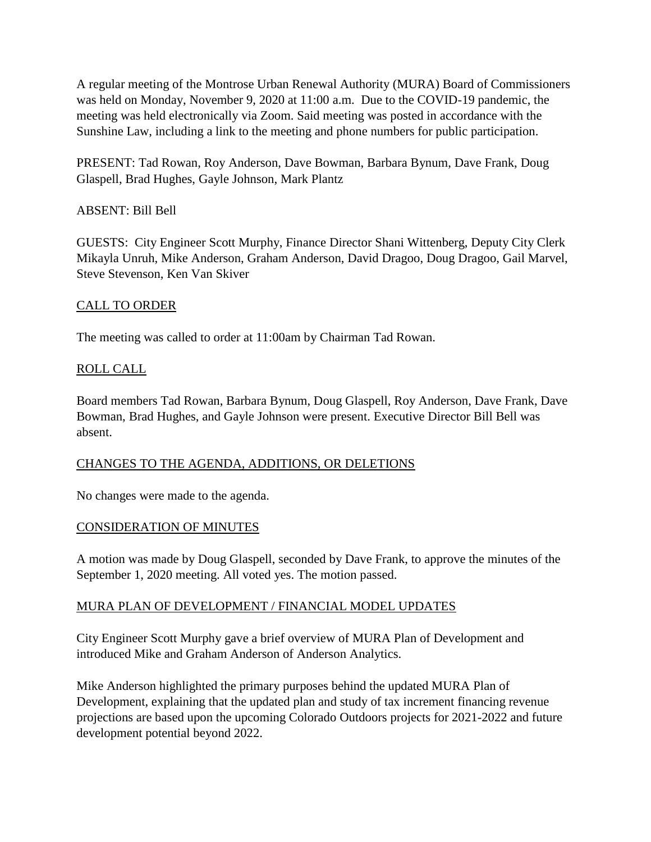A regular meeting of the Montrose Urban Renewal Authority (MURA) Board of Commissioners was held on Monday, November 9, 2020 at 11:00 a.m. Due to the COVID-19 pandemic, the meeting was held electronically via Zoom. Said meeting was posted in accordance with the Sunshine Law, including a link to the meeting and phone numbers for public participation.

PRESENT: Tad Rowan, Roy Anderson, Dave Bowman, Barbara Bynum, Dave Frank, Doug Glaspell, Brad Hughes, Gayle Johnson, Mark Plantz

# ABSENT: Bill Bell

GUESTS: City Engineer Scott Murphy, Finance Director Shani Wittenberg, Deputy City Clerk Mikayla Unruh, Mike Anderson, Graham Anderson, David Dragoo, Doug Dragoo, Gail Marvel, Steve Stevenson, Ken Van Skiver

# CALL TO ORDER

The meeting was called to order at 11:00am by Chairman Tad Rowan.

# ROLL CALL

Board members Tad Rowan, Barbara Bynum, Doug Glaspell, Roy Anderson, Dave Frank, Dave Bowman, Brad Hughes, and Gayle Johnson were present. Executive Director Bill Bell was absent.

### CHANGES TO THE AGENDA, ADDITIONS, OR DELETIONS

No changes were made to the agenda.

### CONSIDERATION OF MINUTES

A motion was made by Doug Glaspell, seconded by Dave Frank, to approve the minutes of the September 1, 2020 meeting. All voted yes. The motion passed.

### MURA PLAN OF DEVELOPMENT / FINANCIAL MODEL UPDATES

City Engineer Scott Murphy gave a brief overview of MURA Plan of Development and introduced Mike and Graham Anderson of Anderson Analytics.

Mike Anderson highlighted the primary purposes behind the updated MURA Plan of Development, explaining that the updated plan and study of tax increment financing revenue projections are based upon the upcoming Colorado Outdoors projects for 2021-2022 and future development potential beyond 2022.